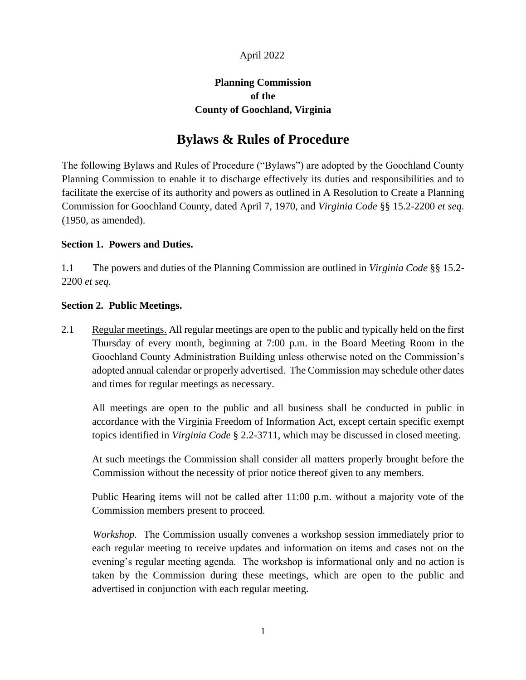#### April 2022

## **Planning Commission of the County of Goochland, Virginia**

# **Bylaws & Rules of Procedure**

The following Bylaws and Rules of Procedure ("Bylaws") are adopted by the Goochland County Planning Commission to enable it to discharge effectively its duties and responsibilities and to facilitate the exercise of its authority and powers as outlined in A Resolution to Create a Planning Commission for Goochland County, dated April 7, 1970, and *Virginia Code* §§ 15.2-2200 *et seq*. (1950, as amended).

## **Section 1. Powers and Duties.**

1.1 The powers and duties of the Planning Commission are outlined in *Virginia Code* §§ 15.2- 2200 *et seq*.

## **Section 2. Public Meetings.**

2.1 Regular meetings. All regular meetings are open to the public and typically held on the first Thursday of every month, beginning at 7:00 p.m. in the Board Meeting Room in the Goochland County Administration Building unless otherwise noted on the Commission's adopted annual calendar or properly advertised. The Commission may schedule other dates and times for regular meetings as necessary.

All meetings are open to the public and all business shall be conducted in public in accordance with the Virginia Freedom of Information Act, except certain specific exempt topics identified in *Virginia Code* § 2.2-3711, which may be discussed in closed meeting.

At such meetings the Commission shall consider all matters properly brought before the Commission without the necessity of prior notice thereof given to any members.

Public Hearing items will not be called after 11:00 p.m. without a majority vote of the Commission members present to proceed.

*Workshop.* The Commission usually convenes a workshop session immediately prior to each regular meeting to receive updates and information on items and cases not on the evening's regular meeting agenda. The workshop is informational only and no action is taken by the Commission during these meetings, which are open to the public and advertised in conjunction with each regular meeting.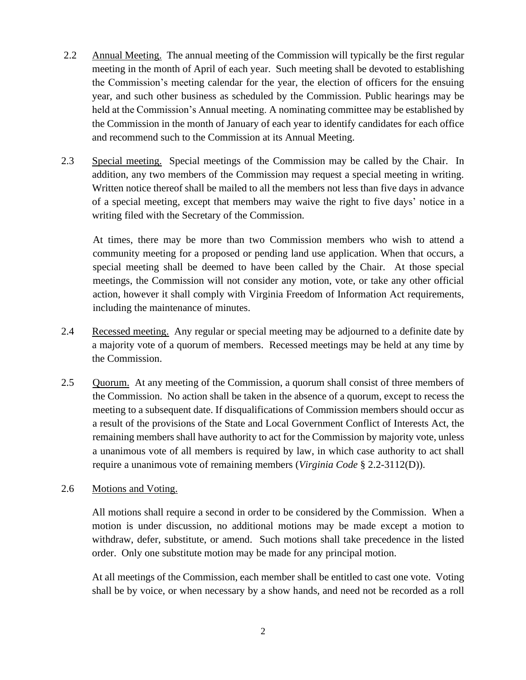- 2.2 Annual Meeting. The annual meeting of the Commission will typically be the first regular meeting in the month of April of each year. Such meeting shall be devoted to establishing the Commission's meeting calendar for the year, the election of officers for the ensuing year, and such other business as scheduled by the Commission. Public hearings may be held at the Commission's Annual meeting. A nominating committee may be established by the Commission in the month of January of each year to identify candidates for each office and recommend such to the Commission at its Annual Meeting.
- 2.3 Special meeting. Special meetings of the Commission may be called by the Chair. In addition, any two members of the Commission may request a special meeting in writing. Written notice thereof shall be mailed to all the members not less than five days in advance of a special meeting, except that members may waive the right to five days' notice in a writing filed with the Secretary of the Commission.

At times, there may be more than two Commission members who wish to attend a community meeting for a proposed or pending land use application. When that occurs, a special meeting shall be deemed to have been called by the Chair. At those special meetings, the Commission will not consider any motion, vote, or take any other official action, however it shall comply with Virginia Freedom of Information Act requirements, including the maintenance of minutes.

- 2.4 Recessed meeting. Any regular or special meeting may be adjourned to a definite date by a majority vote of a quorum of members. Recessed meetings may be held at any time by the Commission.
- 2.5 Quorum. At any meeting of the Commission, a quorum shall consist of three members of the Commission. No action shall be taken in the absence of a quorum, except to recess the meeting to a subsequent date. If disqualifications of Commission members should occur as a result of the provisions of the State and Local Government Conflict of Interests Act, the remaining members shall have authority to act for the Commission by majority vote, unless a unanimous vote of all members is required by law, in which case authority to act shall require a unanimous vote of remaining members (*Virginia Code* § 2.2-3112(D)).

## 2.6 Motions and Voting.

All motions shall require a second in order to be considered by the Commission. When a motion is under discussion, no additional motions may be made except a motion to withdraw, defer, substitute, or amend. Such motions shall take precedence in the listed order. Only one substitute motion may be made for any principal motion.

At all meetings of the Commission, each member shall be entitled to cast one vote. Voting shall be by voice, or when necessary by a show hands, and need not be recorded as a roll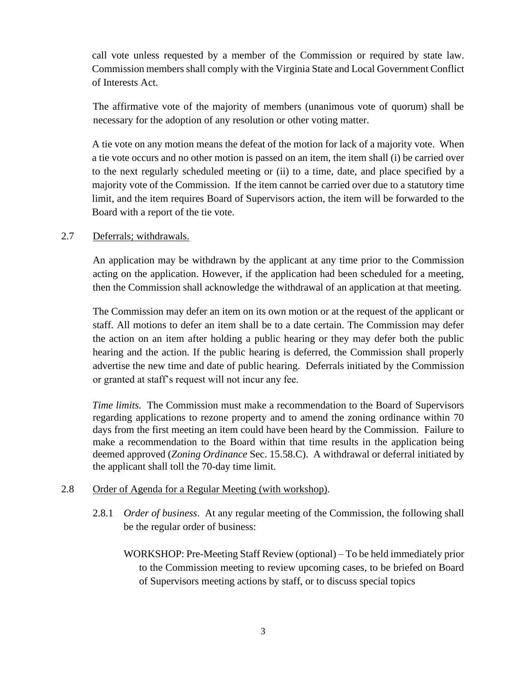call vote unless requested by a member of the Commission or required by state law. Commission members shall comply with the Virginia State and Local Government Conflict of Interests Act.

The affirmative vote of the majority of members (unanimous vote of quorum) shall be necessary for the adoption of any resolution or other voting matter.

A tie vote on any motion means the defeat of the motion for lack of a majority vote. When a tie vote occurs and no other motion is passed on an item, the item shall (i) be carried over to the next regularly scheduled meeting or (ii) to a time, date, and place specified by a majority vote of the Commission. If the item cannot be carried over due to a statutory time limit, and the item requires Board of Supervisors action, the item will be forwarded to the Board with a report of the tie vote.

#### 2.7 Deferrals; withdrawals.

An application may be withdrawn by the applicant at any time prior to the Commission acting on the application. However, if the application had been scheduled for a meeting, then the Commission shall acknowledge the withdrawal of an application at that meeting.

The Commission may defer an item on its own motion or at the request of the applicant or staff. All motions to defer an item shall be to a date certain. The Commission may defer the action on an item after holding a public hearing or they may defer both the public hearing and the action. If the public hearing is deferred, the Commission shall properly advertise the new time and date of public hearing. Deferrals initiated by the Commission or granted at staff's request will not incur any fee.

*Time limits.* The Commission must make a recommendation to the Board of Supervisors regarding applications to rezone property and to amend the zoning ordinance within 70 days from the first meeting an item could have been heard by the Commission. Failure to make a recommendation to the Board within that time results in the application being deemed approved (*Zoning Ordinance* Sec. 15.58.C). A withdrawal or deferral initiated by the applicant shall toll the 70-day time limit.

## 2.8 Order of Agenda for a Regular Meeting (with workshop).

- 2.8.1 *Order of business*. At any regular meeting of the Commission, the following shall be the regular order of business:
	- WORKSHOP: Pre-Meeting Staff Review (optional) To be held immediately prior to the Commission meeting to review upcoming cases, to be briefed on Board of Supervisors meeting actions by staff, or to discuss special topics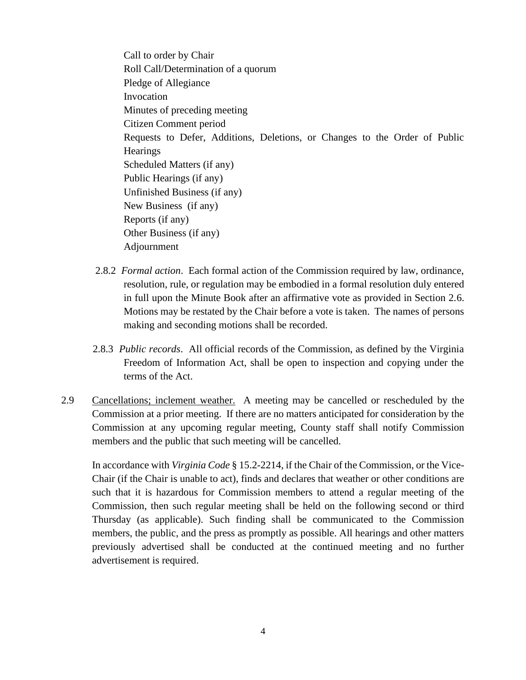Call to order by Chair Roll Call/Determination of a quorum Pledge of Allegiance Invocation Minutes of preceding meeting Citizen Comment period Requests to Defer, Additions, Deletions, or Changes to the Order of Public **Hearings** Scheduled Matters (if any) Public Hearings (if any) Unfinished Business (if any) New Business (if any) Reports (if any) Other Business (if any) Adjournment

- 2.8.2 *Formal action*. Each formal action of the Commission required by law, ordinance, resolution, rule, or regulation may be embodied in a formal resolution duly entered in full upon the Minute Book after an affirmative vote as provided in Section 2.6. Motions may be restated by the Chair before a vote is taken. The names of persons making and seconding motions shall be recorded.
- 2.8.3 *Public records*. All official records of the Commission, as defined by the Virginia Freedom of Information Act, shall be open to inspection and copying under the terms of the Act.
- 2.9 Cancellations; inclement weather. A meeting may be cancelled or rescheduled by the Commission at a prior meeting. If there are no matters anticipated for consideration by the Commission at any upcoming regular meeting, County staff shall notify Commission members and the public that such meeting will be cancelled.

In accordance with *Virginia Code* § 15.2-2214, if the Chair of the Commission, or the Vice-Chair (if the Chair is unable to act), finds and declares that weather or other conditions are such that it is hazardous for Commission members to attend a regular meeting of the Commission, then such regular meeting shall be held on the following second or third Thursday (as applicable). Such finding shall be communicated to the Commission members, the public, and the press as promptly as possible. All hearings and other matters previously advertised shall be conducted at the continued meeting and no further advertisement is required.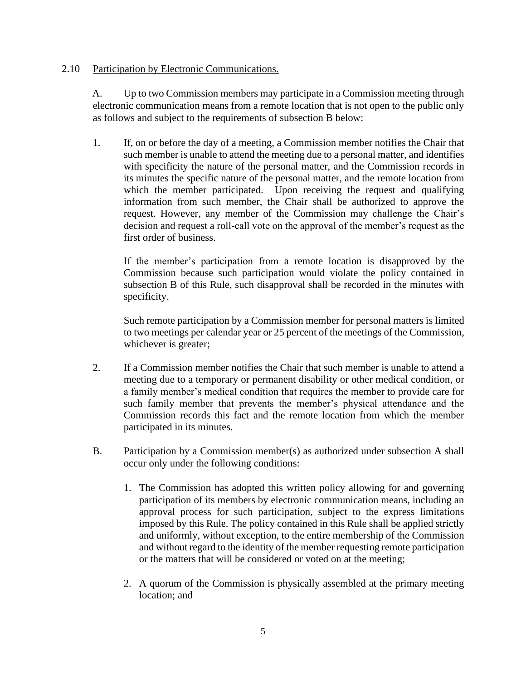#### 2.10 Participation by Electronic Communications.

A. Up to two Commission members may participate in a Commission meeting through electronic communication means from a remote location that is not open to the public only as follows and subject to the requirements of subsection B below:

1. If, on or before the day of a meeting, a Commission member notifies the Chair that such member is unable to attend the meeting due to a personal matter, and identifies with specificity the nature of the personal matter, and the Commission records in its minutes the specific nature of the personal matter, and the remote location from which the member participated. Upon receiving the request and qualifying information from such member, the Chair shall be authorized to approve the request. However, any member of the Commission may challenge the Chair's decision and request a roll-call vote on the approval of the member's request as the first order of business.

If the member's participation from a remote location is disapproved by the Commission because such participation would violate the policy contained in subsection B of this Rule, such disapproval shall be recorded in the minutes with specificity.

Such remote participation by a Commission member for personal matters is limited to two meetings per calendar year or 25 percent of the meetings of the Commission, whichever is greater;

- 2. If a Commission member notifies the Chair that such member is unable to attend a meeting due to a temporary or permanent disability or other medical condition, or a family member's medical condition that requires the member to provide care for such family member that prevents the member's physical attendance and the Commission records this fact and the remote location from which the member participated in its minutes.
- B. Participation by a Commission member(s) as authorized under subsection A shall occur only under the following conditions:
	- 1. The Commission has adopted this written policy allowing for and governing participation of its members by electronic communication means, including an approval process for such participation, subject to the express limitations imposed by this Rule. The policy contained in this Rule shall be applied strictly and uniformly, without exception, to the entire membership of the Commission and without regard to the identity of the member requesting remote participation or the matters that will be considered or voted on at the meeting;
	- 2. A quorum of the Commission is physically assembled at the primary meeting location; and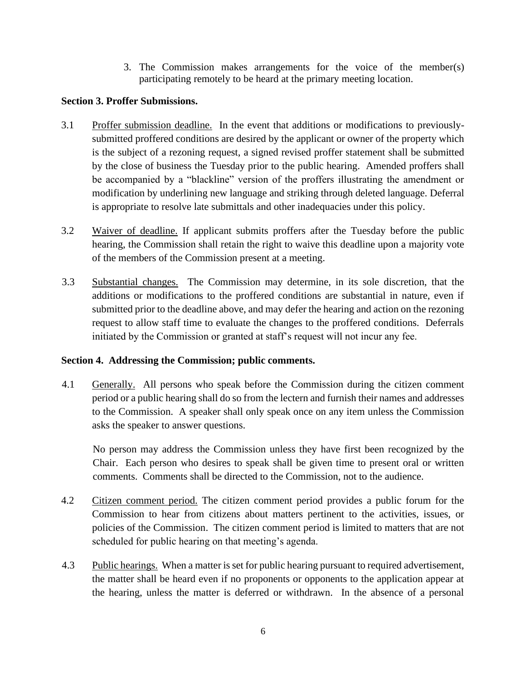3. The Commission makes arrangements for the voice of the member(s) participating remotely to be heard at the primary meeting location.

#### **Section 3. Proffer Submissions.**

- 3.1 Proffer submission deadline. In the event that additions or modifications to previouslysubmitted proffered conditions are desired by the applicant or owner of the property which is the subject of a rezoning request, a signed revised proffer statement shall be submitted by the close of business the Tuesday prior to the public hearing. Amended proffers shall be accompanied by a "blackline" version of the proffers illustrating the amendment or modification by underlining new language and striking through deleted language. Deferral is appropriate to resolve late submittals and other inadequacies under this policy.
- 3.2 Waiver of deadline. If applicant submits proffers after the Tuesday before the public hearing, the Commission shall retain the right to waive this deadline upon a majority vote of the members of the Commission present at a meeting.
- 3.3 Substantial changes. The Commission may determine, in its sole discretion, that the additions or modifications to the proffered conditions are substantial in nature, even if submitted prior to the deadline above, and may defer the hearing and action on the rezoning request to allow staff time to evaluate the changes to the proffered conditions. Deferrals initiated by the Commission or granted at staff's request will not incur any fee.

#### **Section 4. Addressing the Commission; public comments.**

4.1 Generally. All persons who speak before the Commission during the citizen comment period or a public hearing shall do so from the lectern and furnish their names and addresses to the Commission. A speaker shall only speak once on any item unless the Commission asks the speaker to answer questions.

 No person may address the Commission unless they have first been recognized by the Chair. Each person who desires to speak shall be given time to present oral or written comments. Comments shall be directed to the Commission, not to the audience.

- 4.2 Citizen comment period. The citizen comment period provides a public forum for the Commission to hear from citizens about matters pertinent to the activities, issues, or policies of the Commission. The citizen comment period is limited to matters that are not scheduled for public hearing on that meeting's agenda.
- 4.3 Public hearings. When a matter is set for public hearing pursuant to required advertisement, the matter shall be heard even if no proponents or opponents to the application appear at the hearing, unless the matter is deferred or withdrawn. In the absence of a personal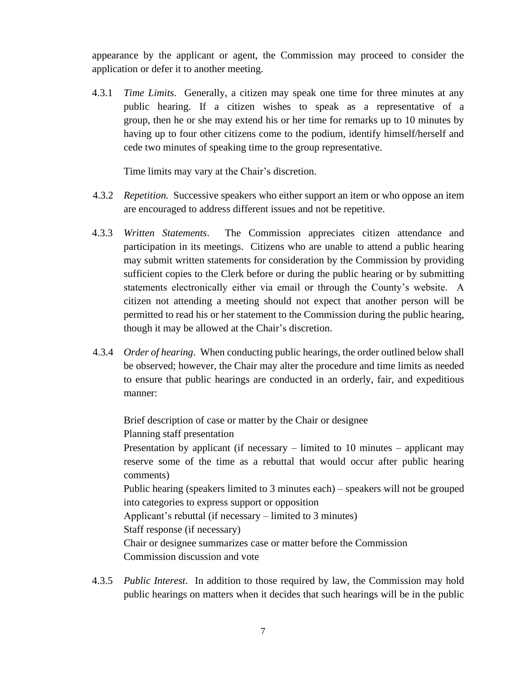appearance by the applicant or agent, the Commission may proceed to consider the application or defer it to another meeting.

4.3.1 *Time Limits*. Generally, a citizen may speak one time for three minutes at any public hearing. If a citizen wishes to speak as a representative of a group, then he or she may extend his or her time for remarks up to 10 minutes by having up to four other citizens come to the podium, identify himself/herself and cede two minutes of speaking time to the group representative.

Time limits may vary at the Chair's discretion.

- 4.3.2 *Repetition.* Successive speakers who either support an item or who oppose an item are encouraged to address different issues and not be repetitive.
- 4.3.3 *Written Statements*. The Commission appreciates citizen attendance and participation in its meetings. Citizens who are unable to attend a public hearing may submit written statements for consideration by the Commission by providing sufficient copies to the Clerk before or during the public hearing or by submitting statements electronically either via email or through the County's website. A citizen not attending a meeting should not expect that another person will be permitted to read his or her statement to the Commission during the public hearing, though it may be allowed at the Chair's discretion.
- 4.3.4 *Order of hearing*. When conducting public hearings, the order outlined below shall be observed; however, the Chair may alter the procedure and time limits as needed to ensure that public hearings are conducted in an orderly, fair, and expeditious manner:

Brief description of case or matter by the Chair or designee Planning staff presentation Presentation by applicant (if necessary – limited to 10 minutes – applicant may reserve some of the time as a rebuttal that would occur after public hearing comments) Public hearing (speakers limited to 3 minutes each) – speakers will not be grouped into categories to express support or opposition Applicant's rebuttal (if necessary – limited to 3 minutes) Staff response (if necessary) Chair or designee summarizes case or matter before the Commission Commission discussion and vote

4.3.5 *Public Interest*. In addition to those required by law, the Commission may hold public hearings on matters when it decides that such hearings will be in the public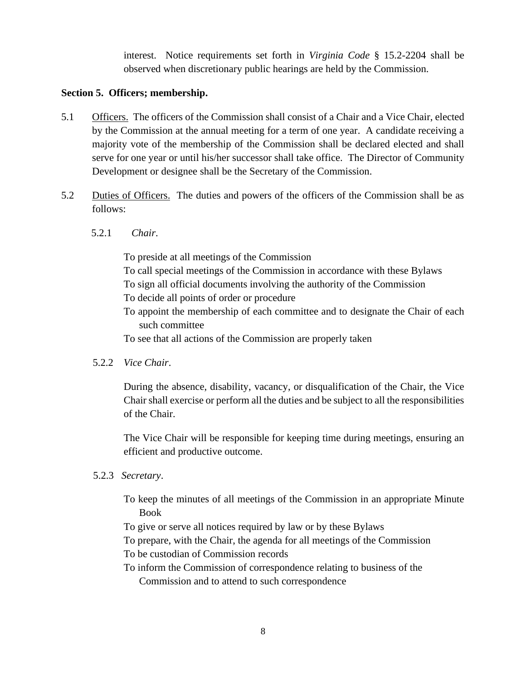interest. Notice requirements set forth in *Virginia Code* § 15.2-2204 shall be observed when discretionary public hearings are held by the Commission.

#### **Section 5. Officers; membership.**

- 5.1 Officers. The officers of the Commission shall consist of a Chair and a Vice Chair, elected by the Commission at the annual meeting for a term of one year. A candidate receiving a majority vote of the membership of the Commission shall be declared elected and shall serve for one year or until his/her successor shall take office. The Director of Community Development or designee shall be the Secretary of the Commission.
- 5.2 Duties of Officers. The duties and powers of the officers of the Commission shall be as follows:
	- 5.2.1 *Chair*.

To preside at all meetings of the Commission

- To call special meetings of the Commission in accordance with these Bylaws
- To sign all official documents involving the authority of the Commission
- To decide all points of order or procedure
- To appoint the membership of each committee and to designate the Chair of each such committee
- To see that all actions of the Commission are properly taken
- 5.2.2 *Vice Chair*.

During the absence, disability, vacancy, or disqualification of the Chair, the Vice Chair shall exercise or perform all the duties and be subject to all the responsibilities of the Chair.

The Vice Chair will be responsible for keeping time during meetings, ensuring an efficient and productive outcome.

- 5.2.3 *Secretary*.
	- To keep the minutes of all meetings of the Commission in an appropriate Minute Book
	- To give or serve all notices required by law or by these Bylaws
	- To prepare, with the Chair, the agenda for all meetings of the Commission
	- To be custodian of Commission records
	- To inform the Commission of correspondence relating to business of the Commission and to attend to such correspondence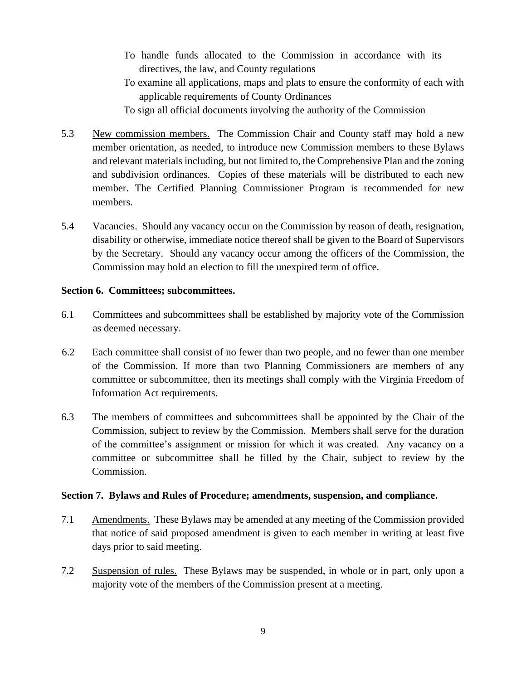- To handle funds allocated to the Commission in accordance with its directives, the law, and County regulations
- To examine all applications, maps and plats to ensure the conformity of each with applicable requirements of County Ordinances

To sign all official documents involving the authority of the Commission

- 5.3 New commission members. The Commission Chair and County staff may hold a new member orientation, as needed, to introduce new Commission members to these Bylaws and relevant materials including, but not limited to, the Comprehensive Plan and the zoning and subdivision ordinances. Copies of these materials will be distributed to each new member. The Certified Planning Commissioner Program is recommended for new members.
- 5.4 Vacancies. Should any vacancy occur on the Commission by reason of death, resignation, disability or otherwise, immediate notice thereof shall be given to the Board of Supervisors by the Secretary. Should any vacancy occur among the officers of the Commission, the Commission may hold an election to fill the unexpired term of office.

#### **Section 6. Committees; subcommittees.**

- 6.1 Committees and subcommittees shall be established by majority vote of the Commission as deemed necessary.
- 6.2 Each committee shall consist of no fewer than two people, and no fewer than one member of the Commission. If more than two Planning Commissioners are members of any committee or subcommittee, then its meetings shall comply with the Virginia Freedom of Information Act requirements.
- 6.3 The members of committees and subcommittees shall be appointed by the Chair of the Commission, subject to review by the Commission. Members shall serve for the duration of the committee's assignment or mission for which it was created. Any vacancy on a committee or subcommittee shall be filled by the Chair, subject to review by the Commission.

## **Section 7. Bylaws and Rules of Procedure; amendments, suspension, and compliance.**

- 7.1 Amendments. These Bylaws may be amended at any meeting of the Commission provided that notice of said proposed amendment is given to each member in writing at least five days prior to said meeting.
- 7.2 Suspension of rules. These Bylaws may be suspended, in whole or in part, only upon a majority vote of the members of the Commission present at a meeting.